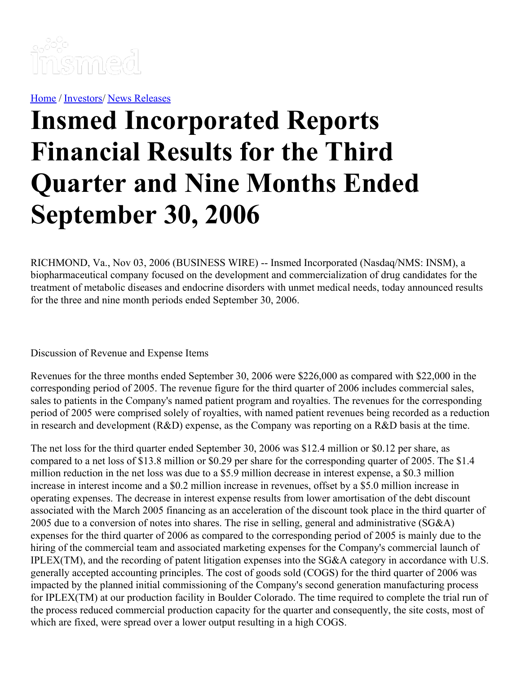

[Home](https://insmed.com/) / [Investors](https://investor.insmed.com/index)/ News [Releases](https://investor.insmed.com/releases)

# **Insmed Incorporated Reports Financial Results for the Third Quarter and Nine Months Ended September 30, 2006**

RICHMOND, Va., Nov 03, 2006 (BUSINESS WIRE) -- Insmed Incorporated (Nasdaq/NMS: INSM), a biopharmaceutical company focused on the development and commercialization of drug candidates for the treatment of metabolic diseases and endocrine disorders with unmet medical needs, today announced results for the three and nine month periods ended September 30, 2006.

### Discussion of Revenue and Expense Items

Revenues for the three months ended September 30, 2006 were \$226,000 as compared with \$22,000 in the corresponding period of 2005. The revenue figure for the third quarter of 2006 includes commercial sales, sales to patients in the Company's named patient program and royalties. The revenues for the corresponding period of 2005 were comprised solely of royalties, with named patient revenues being recorded as a reduction in research and development (R&D) expense, as the Company was reporting on a R&D basis at the time.

The net loss for the third quarter ended September 30, 2006 was \$12.4 million or \$0.12 per share, as compared to a net loss of \$13.8 million or \$0.29 per share for the corresponding quarter of 2005. The \$1.4 million reduction in the net loss was due to a \$5.9 million decrease in interest expense, a \$0.3 million increase in interest income and a \$0.2 million increase in revenues, offset by a \$5.0 million increase in operating expenses. The decrease in interest expense results from lower amortisation of the debt discount associated with the March 2005 financing as an acceleration of the discount took place in the third quarter of 2005 due to a conversion of notes into shares. The rise in selling, general and administrative (SG&A) expenses for the third quarter of 2006 as compared to the corresponding period of 2005 is mainly due to the hiring of the commercial team and associated marketing expenses for the Company's commercial launch of IPLEX(TM), and the recording of patent litigation expenses into the SG&A category in accordance with U.S. generally accepted accounting principles. The cost of goods sold (COGS) for the third quarter of 2006 was impacted by the planned initial commissioning of the Company's second generation manufacturing process for IPLEX(TM) at our production facility in Boulder Colorado. The time required to complete the trial run of the process reduced commercial production capacity for the quarter and consequently, the site costs, most of which are fixed, were spread over a lower output resulting in a high COGS.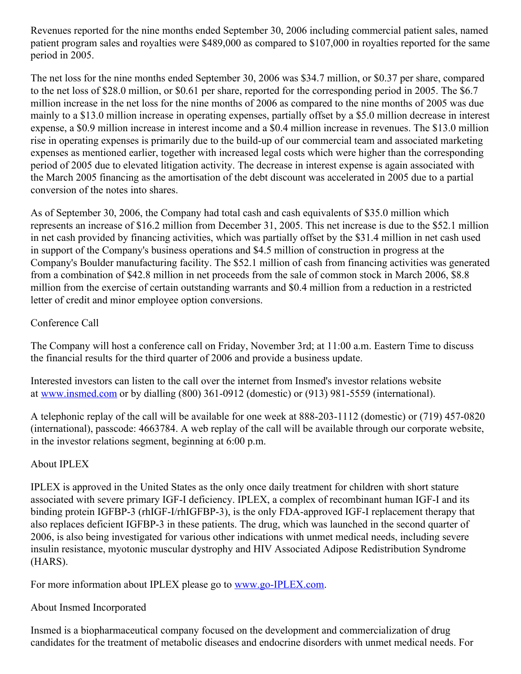Revenues reported for the nine months ended September 30, 2006 including commercial patient sales, named patient program sales and royalties were \$489,000 as compared to \$107,000 in royalties reported for the same period in 2005.

The net loss for the nine months ended September 30, 2006 was \$34.7 million, or \$0.37 per share, compared to the net loss of \$28.0 million, or \$0.61 per share, reported for the corresponding period in 2005. The \$6.7 million increase in the net loss for the nine months of 2006 as compared to the nine months of 2005 was due mainly to a \$13.0 million increase in operating expenses, partially offset by a \$5.0 million decrease in interest expense, a \$0.9 million increase in interest income and a \$0.4 million increase in revenues. The \$13.0 million rise in operating expenses is primarily due to the build-up of our commercial team and associated marketing expenses as mentioned earlier, together with increased legal costs which were higher than the corresponding period of 2005 due to elevated litigation activity. The decrease in interest expense is again associated with the March 2005 financing as the amortisation of the debt discount was accelerated in 2005 due to a partial conversion of the notes into shares.

As of September 30, 2006, the Company had total cash and cash equivalents of \$35.0 million which represents an increase of \$16.2 million from December 31, 2005. This net increase is due to the \$52.1 million in net cash provided by financing activities, which was partially offset by the \$31.4 million in net cash used in support of the Company's business operations and \$4.5 million of construction in progress at the Company's Boulder manufacturing facility. The \$52.1 million of cash from financing activities was generated from a combination of \$42.8 million in net proceeds from the sale of common stock in March 2006, \$8.8 million from the exercise of certain outstanding warrants and \$0.4 million from a reduction in a restricted letter of credit and minor employee option conversions.

### Conference Call

The Company will host a conference call on Friday, November 3rd; at 11:00 a.m. Eastern Time to discuss the financial results for the third quarter of 2006 and provide a business update.

Interested investors can listen to the call over the internet from Insmed's investor relations website at [www.insmed.com](http://www.insmed.com/) or by dialling (800) 361-0912 (domestic) or (913) 981-5559 (international).

A telephonic replay of the call will be available for one week at 888-203-1112 (domestic) or (719) 457-0820 (international), passcode: 4663784. A web replay of the call will be available through our corporate website, in the investor relations segment, beginning at 6:00 p.m.

### About IPLEX

IPLEX is approved in the United States as the only once daily treatment for children with short stature associated with severe primary IGF-I deficiency. IPLEX, a complex of recombinant human IGF-I and its binding protein IGFBP-3 (rhIGF-I/rhIGFBP-3), is the only FDA-approved IGF-I replacement therapy that also replaces deficient IGFBP-3 in these patients. The drug, which was launched in the second quarter of 2006, is also being investigated for various other indications with unmet medical needs, including severe insulin resistance, myotonic muscular dystrophy and HIV Associated Adipose Redistribution Syndrome (HARS).

For more information about IPLEX please go to [www.go-IPLEX.com](http://www.go-iplex.com/).

## About Insmed Incorporated

Insmed is a biopharmaceutical company focused on the development and commercialization of drug candidates for the treatment of metabolic diseases and endocrine disorders with unmet medical needs. For